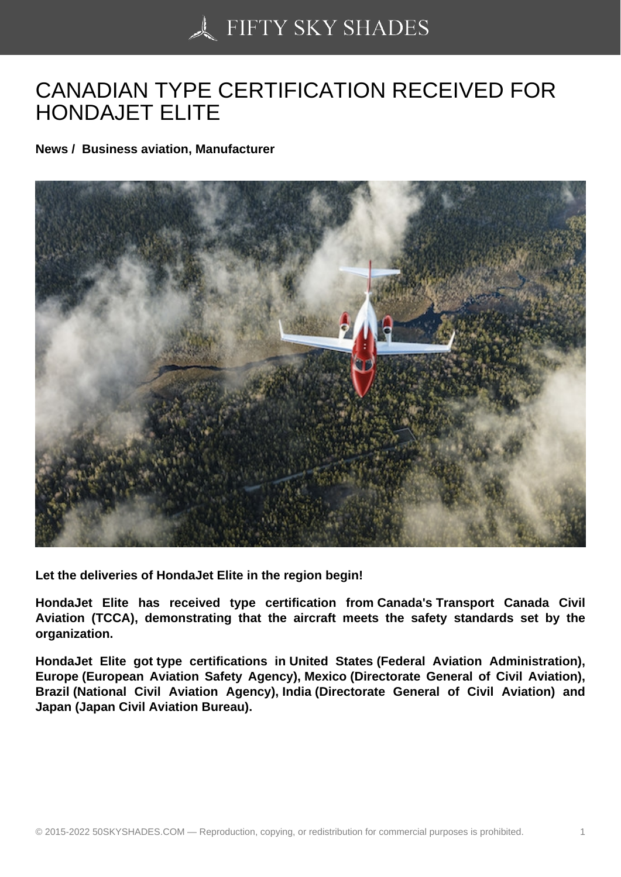## [CANADIAN TYPE CER](https://50skyshades.com)TIFICATION RECEIVED FOR HONDAJET ELITE

News / Business aviation, Manufacturer

Let the deliveries of HondaJet Elite in the region begin!

HondaJet Elite has received type certification from Canada's Transport Canada Civil Aviation (TCCA), demonstrating that the aircraft meets the safety standards set by the organization.

HondaJet Elite got type certifications in United States (Federal Aviation Administration), Europe (European Aviation Safety Agency), Mexico (Directorate General of Civil Aviation), Brazil (National Civil Aviation Agency), India (Directorate General of Civil Aviation) and Japan (Japan Civil Aviation Bureau).